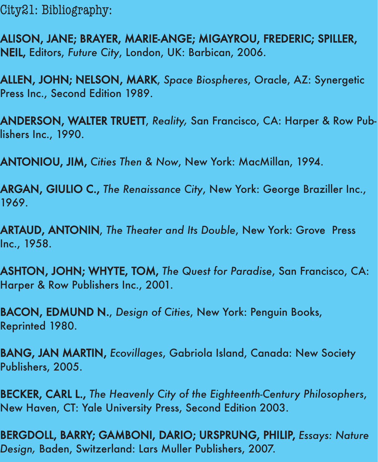City21: Bibliography:

ALISON, JANE; BRAYER, MARIE-ANGE; MIGAYROU, FREDERIC; SPILLER, NEIL, Editors, *Future City*, London, UK: Barbican, 2006.

ALLEN, JOHN; NELSON, MARK, *Space Biospheres*, Oracle, AZ: Synergetic Press Inc., Second Edition 1989.

ANDERSON, WALTER TRUETT, *Reality,* San Francisco, CA: Harper & Row Publishers Inc., 1990.

ANTONIOU, JIM, *Cities Then & Now*, New York: MacMillan, 1994.

ARGAN, GIULIO C., *The Renaissance City*, New York: George Braziller Inc., 1969.

ARTAUD, ANTONIN, *The Theater and Its Double*, New York: Grove Press Inc., 1958.

ASHTON, JOHN; WHYTE, TOM, *The Quest for Paradise*, San Francisco, CA: Harper & Row Publishers Inc., 2001.

BACON, EDMUND N., *Design of Cities*, New York: Penguin Books, Reprinted 1980.

BANG, JAN MARTIN, *Ecovillages*, Gabriola Island, Canada: New Society Publishers, 2005.

BECKER, CARL L., *The Heavenly City of the Eighteenth-Century Philosophers*, New Haven, CT: Yale University Press, Second Edition 2003.

BERGDOLL, BARRY; GAMBONI, DARIO; URSPRUNG, PHILIP, *Essays: Nature Design,* Baden, Switzerland: Lars Muller Publishers, 2007.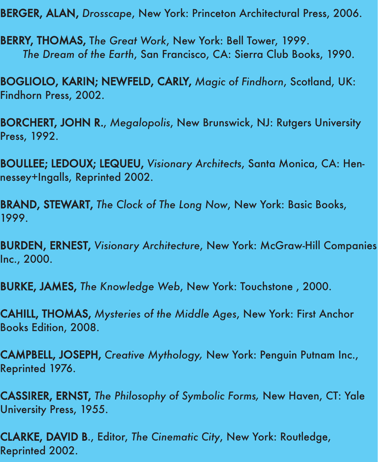BERGER, ALAN, *Drosscape*, New York: Princeton Architectural Press, 2006.

BERRY, THOMAS, T*he Great Work*, New York: Bell Tower, 1999. *The Dream of the Earth*, San Francisco, CA: Sierra Club Books, 1990.

BOGLIOLO, KARIN; NEWFELD, CARLY, *Magic of Findhorn*, Scotland, UK: Findhorn Press, 2002.

BORCHERT, JOHN R., *Megalopolis*, New Brunswick, NJ: Rutgers University Press, 1992.

BOULLEE; LEDOUX; LEQUEU, *Visionary Architects*, Santa Monica, CA: Hennessey+Ingalls, Reprinted 2002.

BRAND, STEWART, *The Clock of The Long Now*, New York: Basic Books, 1999.

BURDEN, ERNEST, *Visionary Architecture*, New York: McGraw-Hill Companies Inc., 2000.

BURKE, JAMES, *The Knowledge Web*, New York: Touchstone , 2000.

CAHILL, THOMAS, *Mysteries of the Middle Ages*, New York: First Anchor Books Edition, 2008.

CAMPBELL, JOSEPH, *Creative Mythology,* New York: Penguin Putnam Inc., Reprinted 1976.

CASSIRER, ERNST, *The Philosophy of Symbolic Forms,* New Haven, CT: Yale University Press, 1955.

CLARKE, DAVID B., Editor, *The Cinematic City*, New York: Routledge, Reprinted 2002.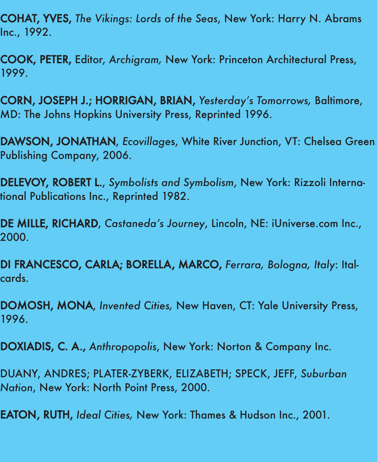COHAT, YVES, *The Vikings: Lords of the Seas*, New York: Harry N. Abrams Inc., 1992.

COOK, PETER, Editor, *Archigram,* New York: Princeton Architectural Press, 1999.

CORN, JOSEPH J.; HORRIGAN, BRIAN, *Yesterday 's Tomorrows,* Baltimore, MD: The Johns Hopkins University Press, Reprinted 1996.

DAWSON, JONATHAN, *Ecovillage*s, White River Junction, VT: Chelsea Green Publishing Company, 2006.

DELEVOY, ROBERT L., *Symbolists and Symbolism*, New York: Rizzoli International Publications Inc., Reprinted 1982.

DE MILLE, RICHARD, *Castaneda's Journey*, Lincoln, NE: iUniverse.com Inc., 2000.

DI FRANCESCO, CARLA; BORELLA, MARCO, *Ferrara, Bologna, Italy*: Italcards.

DOMOSH, MONA, *Invented Cities,* New Haven, CT: Yale University Press, 1996.

DOXIADIS, C. A., *Anthropopolis*, New York: Norton & Company Inc.

DUANY, ANDRES; PLATER-ZYBERK, ELIZABETH; SPECK, JEFF, *Suburban Nation*, New York: North Point Press, 2000.

EATON, RUTH, *Ideal Cities,* New York: Thames & Hudson Inc., 2001.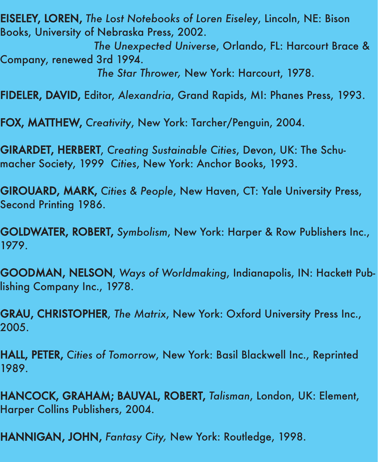EISELEY, LOREN, *The Lost Notebooks of Loren Eiseley*, Lincoln, NE: Bison Books, University of Nebraska Press, 2002.

*The Unexpected Universe*, Orlando, FL: Harcourt Brace & Company, renewed 3rd 1994.

*The Star Thrower,* New York: Harcourt, 1978.

FIDELER, DAVID, Editor, *Alexandria*, Grand Rapids, MI: Phanes Press, 1993.

FOX, MATTHEW, *Creativity*, New York: Tarcher/Penguin, 2004.

GIRARDET, HERBERT, *Creating Sustainable Cities*, Devon, UK: The Schumacher Society, 1999 *Cities*, New York: Anchor Books, 1993.

GIROUARD, MARK, *Cities & People*, New Haven, CT: Yale University Press, Second Printing 1986.

GOLDWATER, ROBERT, *Symbolism*, New York: Harper & Row Publishers Inc., 1979.

GOODMAN, NELSON, *Ways of Worldmaking*, Indianapolis, IN: Hackett Publishing Company Inc., 1978.

GRAU, CHRISTOPHER, *The Matrix*, New York: Oxford University Press Inc., 2005.

HALL, PETER, *Cities of Tomorrow*, New York: Basil Blackwell Inc., Reprinted 1989.

HANCOCK, GRAHAM; BAUVAL, ROBERT, *Talisman*, London, UK: Element, Harper Collins Publishers, 2004.

HANNIGAN, JOHN, *Fantasy City,* New York: Routledge, 1998.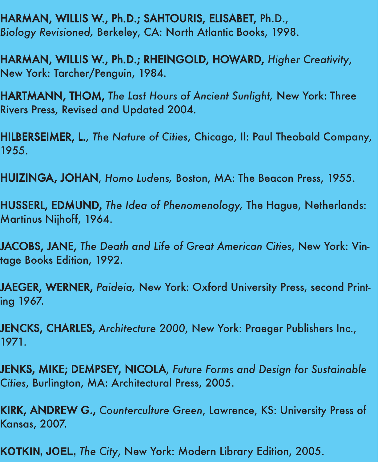HARMAN, WILLIS W., Ph.D.; SAHTOURIS, ELISABET, Ph.D., *Biology Revisioned,* Berkeley, CA: North Atlantic Books, 1998.

HARMAN, WILLIS W., Ph.D.; RHEINGOLD, HOWARD, *Higher Creativity*, New York: Tarcher/Penguin, 1984.

HARTMANN, THOM, *The Last Hours of Ancient Sunlight,* New York: Three Rivers Press, Revised and Updated 2004.

HILBERSEIMER, L., *The Nature of Cities*, Chicago, Il: Paul Theobald Company, 1955.

HUIZINGA, JOHAN, *Homo Ludens,* Boston, MA: The Beacon Press, 1955.

HUSSERL, EDMUND, *The Idea of Phenomenology,* The Hague, Netherlands: Martinus Nijhoff, 1964.

JACOBS, JANE, *The Death and Life of Great American Cities*, New York: Vintage Books Edition, 1992.

JAEGER, WERNER, *Paideia,* New York: Oxford University Press, second Printing 1967.

JENCKS, CHARLES, *Architecture 2000*, New York: Praeger Publishers Inc., 1971.

JENKS, MIKE; DEMPSEY, NICOLA, *Future Forms and Design for Sustainable Cities*, Burlington, MA: Architectural Press, 2005.

KIRK, ANDREW G., *Counterculture Green*, Lawrence, KS: University Press of Kansas, 2007.

**KOTKIN, JOEL,** *The City*, New York: Modern Library Edition, 2005.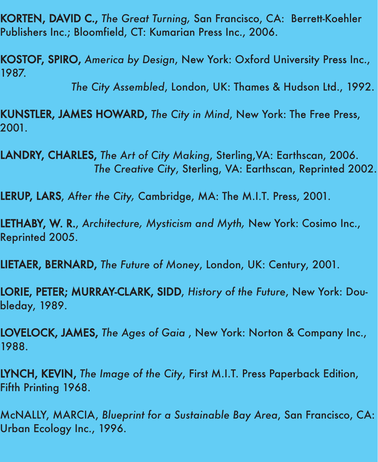KORTEN, DAVID C., *The Great Turning,* San Francisco, CA: Berrett-Koehler Publishers Inc.; Bloomfield, CT: Kumarian Press Inc., 2006.

KOSTOF, SPIRO, *America by Design*, New York: Oxford University Press Inc., 1987.

*The City Assembled*, London, UK: Thames & Hudson Ltd., 1992.

KUNSTLER, JAMES HOWARD, *The City in Mind*, New York: The Free Press, 2001.

LANDRY, CHARLES, *The Art of City Making*, Sterling,VA: Earthscan, 2006. *The Creative City*, Sterling, VA: Earthscan, Reprinted 2002.

LERUP, LARS, *After the City,* Cambridge, MA: The M.I.T. Press, 2001.

LETHABY, W. R., *Architecture, Mysticism and Myth,* New York: Cosimo Inc., Reprinted 2005.

LIETAER, BERNARD, *The Future of Money*, London, UK: Century, 2001.

LORIE, PETER; MURRAY-CLARK, SIDD, *History of the Future*, New York: Doubleday, 1989.

LOVELOCK, JAMES, *The Ages of Gaia* , New York: Norton & Company Inc., 1988.

LYNCH, KEVIN, *The Image of the City*, First M.I.T. Press Paperback Edition, Fifth Printing 1968.

McNALLY, MARCIA, *Blueprint for a Sustainable Bay Area*, San Francisco, CA: Urban Ecology Inc., 1996.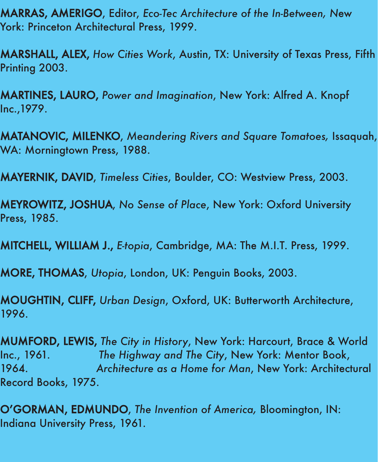MARRAS, AMERIGO, Editor, *Eco-Tec Architecture of the In-Between, N*ew York: Princeton Architectural Press, 1999.

MARSHALL, ALEX, *How Cities Work*, Austin, TX: University of Texas Press, Fifth Printing 2003.

MARTINES, LAURO, *Power and Imagination*, New York: Alfred A. Knopf Inc.,1979.

MATANOVIC, MILENKO, *Meandering Rivers and Square Tomatoes,* Issaquah, WA: Morningtown Press, 1988.

MAYERNIK, DAVID, *Timeless Cities*, Boulder, CO: Westview Press, 2003.

MEYROWITZ, JOSHUA, *No Sense of Place*, New York: Oxford University Press, 1985.

MITCHELL, WILLIAM J., *E-topia*, Cambridge, MA: The M.I.T. Press, 1999.

MORE, THOMAS, *Utopia*, London, UK: Penguin Books, 2003.

MOUGHTIN, CLIFF, *Urban Design*, Oxford, UK: Butterworth Architecture, 1996.

MUMFORD, LEWIS, *The City in History*, New York: Harcourt, Brace & World Inc., 1961. *The Highway and The City*, New York: Mentor Book, 1964. *Architecture as a Home for Man*, New York: Architectural Record Books, 1975.

O'GORMAN, EDMUNDO, *The Invention of America,* Bloomington, IN: Indiana University Press, 1961.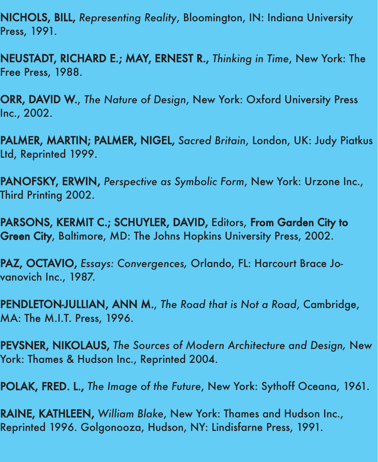NICHOLS, BILL, *Representing Reality*, Bloomington, IN: Indiana University Press, 1991.

NEUSTADT, RICHARD E.; MAY, ERNEST R., *Thinking in Time*, New York: The Free Press, 1988.

ORR, DAVID W., *The Nature of Design*, New York: Oxford University Press Inc., 2002.

PALMER, MARTIN; PALMER, NIGEL, *Sacred Britain*, London, UK: Judy Piatkus Ltd, Reprinted 1999.

PANOFSKY, ERWIN, *Perspective as Symbolic Form*, New York: Urzone Inc., Third Printing 2002.

PARSONS, KERMIT C.; SCHUYLER, DAVID, Editors, From Garden City to Green City, Baltimore, MD: The Johns Hopkins University Press, 2002.

PAZ, OCTAVIO, *Essays: Convergences,* Orlando, FL: Harcourt Brace Jovanovich Inc., 1987.

PENDLETON-JULLIAN, ANN M., *The Road that is Not a Road*, Cambridge, MA: The M.I.T. Press, 1996.

PEVSNER, NIKOLAUS, *The Sources of Modern Architecture and Design,* New York: Thames & Hudson Inc., Reprinted 2004.

POLAK, FRED. L., *The Image of the Future*, New York: Sythoff Oceana, 1961.

RAINE, KATHLEEN, *William Blake*, New York: Thames and Hudson Inc., Reprinted 1996. Golgonooza, Hudson, NY: Lindisfarne Press, 1991.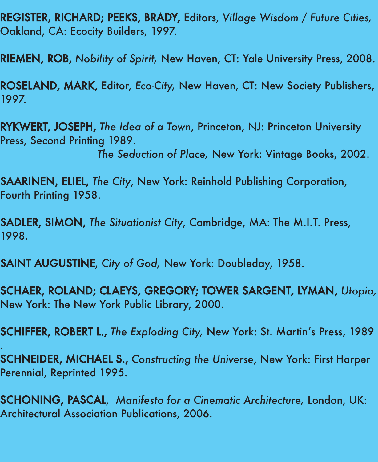REGISTER, RICHARD; PEEKS, BRADY, Editors, *Village Wisdom / Future Cities,* Oakland, CA: Ecocity Builders, 1997.

RIEMEN, ROB, *Nobility of Spirit,* New Haven, CT: Yale University Press, 2008.

ROSELAND, MARK, Editor, *Eco-City,* New Haven, CT: New Society Publishers, 1997.

RYKWERT, JOSEPH, *The Idea of a Town*, Princeton, NJ: Princeton University Press, Second Printing 1989.

*The Seduction of Place,* New York: Vintage Books, 2002.

SAARINEN, ELIEL, *The City*, New York: Reinhold Publishing Corporation, Fourth Printing 1958.

SADLER, SIMON, *The Situationist City*, Cambridge, MA: The M.I.T. Press, 1998.

SAINT AUGUSTINE, *City of God,* New York: Doubleday, 1958.

.

SCHAER, ROLAND; CLAEYS, GREGORY; TOWER SARGENT, LYMAN, *Utopia,* New York: The New York Public Library, 2000.

SCHIFFER, ROBERT L., *The Exploding City,* New York: St. Martin's Press, 1989

SCHNEIDER, MICHAEL S., *Constructing the Universe*, New York: First Harper Perennial, Reprinted 1995.

SCHONING, PASCAL, *Manifesto for a Cinematic Architecture,* London, UK: Architectural Association Publications, 2006.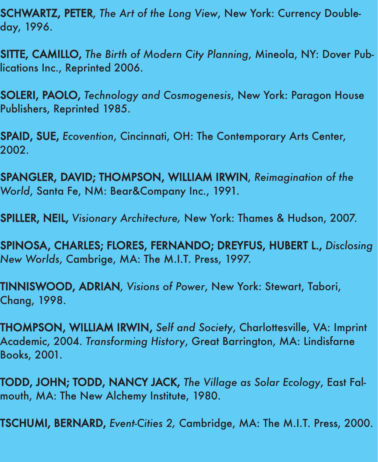SCHWARTZ, PETER, *The Art of the Long View*, New York: Currency Doubleday, 1996.

SITTE, CAMILLO, *The Birth of Modern City Planning*, Mineola, NY: Dover Publications Inc., Reprinted 2006.

SOLERI, PAOLO, *Technology and Cosmogenesis*, New York: Paragon House Publishers, Reprinted 1985.

SPAID, SUE, *Ecovention*, Cincinnati, OH: The Contemporary Arts Center, 2002.

SPANGLER, DAVID; THOMPSON, WILLIAM IRWIN, *Reimagination of the World*, Santa Fe, NM: Bear&Company Inc., 1991.

SPILLER, NEIL, *Visionary Architecture,* New York: Thames & Hudson, 2007.

SPINOSA, CHARLES; FLORES, FERNANDO; DREYFUS, HUBERT L., *Disclosing New Worlds*, Cambrige, MA: The M.I.T. Press, 1997.

TINNISWOOD, ADRIAN, *Visions of Power*, New York: Stewart, Tabori, Chang, 1998.

THOMPSON, WILLIAM IRWIN, *Self and Society*, Charlottesville, VA: Imprint Academic, 2004. *Transforming History*, Great Barrington, MA: Lindisfarne Books, 2001.

TODD, JOHN; TODD, NANCY JACK, *The Village as Solar Ecology*, East Falmouth, MA: The New Alchemy Institute, 1980.

TSCHUMI, BERNARD, *Event-Cities 2,* Cambridge, MA: The M.I.T. Press, 2000.